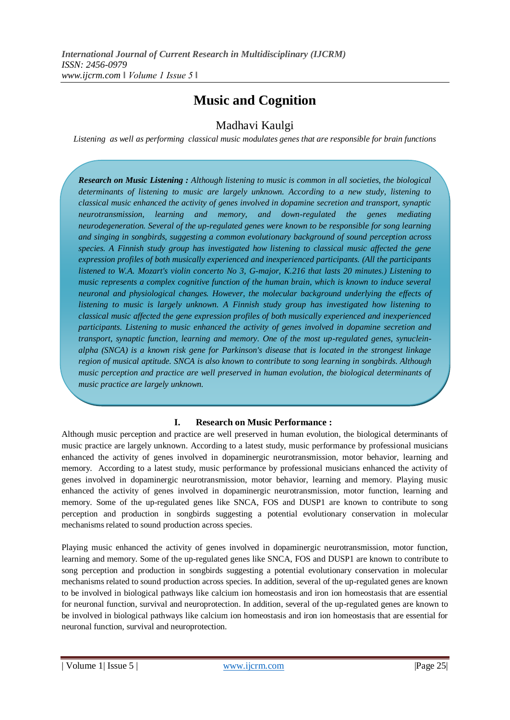# **Music and Cognition**

# Madhavi Kaulgi

*Listening as well as performing classical music modulates genes that are responsible for brain functions*

*Research on Music Listening : Although listening to music is common in all societies, the biological determinants of listening to music are largely unknown. According to a new study, listening to classical music enhanced the activity of genes involved in dopamine secretion and transport, synaptic neurotransmission, learning and memory, and down-regulated the genes mediating neurodegeneration. Several of the up-regulated genes were known to be responsible for song learning and singing in songbirds, suggesting a common evolutionary background of sound perception across species. A Finnish study group has investigated how listening to classical music affected the gene expression profiles of both musically experienced and inexperienced participants. (All the participants listened to W.A. Mozart's violin concerto No 3, G-major, K.216 that lasts 20 minutes.) Listening to music represents a complex cognitive function of the human brain, which is known to induce several neuronal and physiological changes. However, the molecular background underlying the effects of listening to music is largely unknown. A Finnish study group has investigated how listening to classical music affected the gene expression profiles of both musically experienced and inexperienced participants. Listening to music enhanced the activity of genes involved in dopamine secretion and transport, synaptic function, learning and memory. One of the most up-regulated genes, synucleinalpha (SNCA) is a known risk gene for Parkinson's disease that is located in the strongest linkage region of musical aptitude. SNCA is also known to contribute to song learning in songbirds. Although music perception and practice are well preserved in human evolution, the biological determinants of music practice are largely unknown.*

## **I. Research on Music Performance :**

Although music perception and practice are well preserved in human evolution, the biological determinants of music practice are largely unknown. According to a latest study, music performance by professional musicians enhanced the activity of genes involved in dopaminergic neurotransmission, motor behavior, learning and memory. According to a latest study, music performance by professional musicians enhanced the activity of genes involved in dopaminergic neurotransmission, motor behavior, learning and memory. Playing music enhanced the activity of genes involved in dopaminergic neurotransmission, motor function, learning and memory. Some of the up-regulated genes like SNCA, FOS and DUSP1 are known to contribute to song perception and production in songbirds suggesting a potential evolutionary conservation in molecular mechanisms related to sound production across species.

Playing music enhanced the activity of genes involved in dopaminergic neurotransmission, motor function, learning and memory. Some of the up-regulated genes like SNCA, FOS and DUSP1 are known to contribute to song perception and production in songbirds suggesting a potential evolutionary conservation in molecular mechanisms related to sound production across species. In addition, several of the up-regulated genes are known to be involved in biological pathways like calcium ion homeostasis and iron ion homeostasis that are essential for neuronal function, survival and neuroprotection. In addition, several of the up-regulated genes are known to be involved in biological pathways like calcium ion homeostasis and iron ion homeostasis that are essential for neuronal function, survival and neuroprotection.